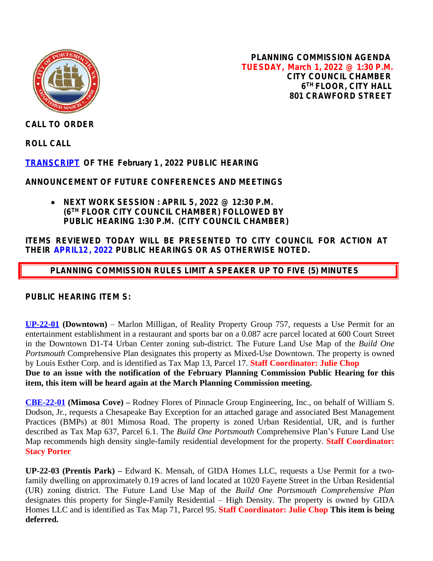

**PLANNING COMMISSION AGENDA TUESDAY, March 1, 2022 @ 1:30 P.M. CITY COUNCIL CHAMBER 6 TH FLOOR, CITY HALL 801 CRAWFORD STREET**

**CALL TO ORDER**

**ROLL CALL**

**[TRANSCRIPT](https://www.portsmouthva.gov/DocumentCenter/View/11992/Transcrip020122) OF THE February 1 , 2022 PUBLIC HEARING**

**ANNOUNCEMENT OF FUTURE CONFERENCES AND MEETINGS**

 **NEXT WORK SESSION : APRIL 5, 2022 @ 12:30 P.M. (6TH FLOOR CITY COUNCIL CHAMBER) FOLLOWED BY PUBLIC HEARING 1:30 P.M. (CITY COUNCIL CHAMBER)**

## **ITEMS REVIEWED TODAY WILL BE PRESENTED TO CITY COUNCIL FOR ACTION AT THEIR APRIL12, 2022 PUBLIC HEARINGS OR AS OTHERWISE NOTED.**

 **PLANNING COMMISSION RULES LIMIT A SPEAKER UP TO FIVE (5) MINUTES**

**PUBLIC HEARING ITEM S:**

**[UP-22-01](https://www.portsmouthva.gov/DocumentCenter/View/11994/UP-22-01-Staff-Report-Packet-PDF) (Downtown)** – Marlon Milligan, of Reality Property Group 757, requests a Use Permit for an entertainment establishment in a restaurant and sports bar on a 0.087 acre parcel located at 600 Court Street in the Downtown D1-T4 Urban Center zoning sub-district. The Future Land Use Map of the *Build One Portsmouth* Comprehensive Plan designates this property as Mixed-Use Downtown. The property is owned by Louis Esther Corp. and is identified as Tax Map 13, Parcel 17. **Staff Coordinator: Julie Chop Due to an issue with the notification of the February Planning Commission Public Hearing for this item, this item will be heard again at the March Planning Commission meeting.**

**[CBE-22-01](https://www.portsmouthva.gov/DocumentCenter/View/11995/CBE-22-01_Full-Staff-Report-Packet-for-printing) (Mimosa Cove) –** Rodney Flores of Pinnacle Group Engineering, Inc., on behalf of William S. Dodson, Jr., requests a Chesapeake Bay Exception for an attached garage and associated Best Management Practices (BMPs) at 801 Mimosa Road. The property is zoned Urban Residential, UR, and is further described as Tax Map 637, Parcel 6.1. The *Build One Portsmouth* Comprehensive Plan's Future Land Use Map recommends high density single-family residential development for the property. **Staff Coordinator: Stacy Porter**

**UP-22-03 (Prentis Park) –** Edward K. Mensah, of GIDA Homes LLC, requests a Use Permit for a twofamily dwelling on approximately 0.19 acres of land located at 1020 Fayette Street in the Urban Residential (UR) zoning district. The Future Land Use Map of the *Build One Portsmouth Comprehensive Plan* designates this property for Single-Family Residential – High Density. The property is owned by GIDA Homes LLC and is identified as Tax Map 71, Parcel 95. **Staff Coordinator: Julie Chop This item is being deferred.**